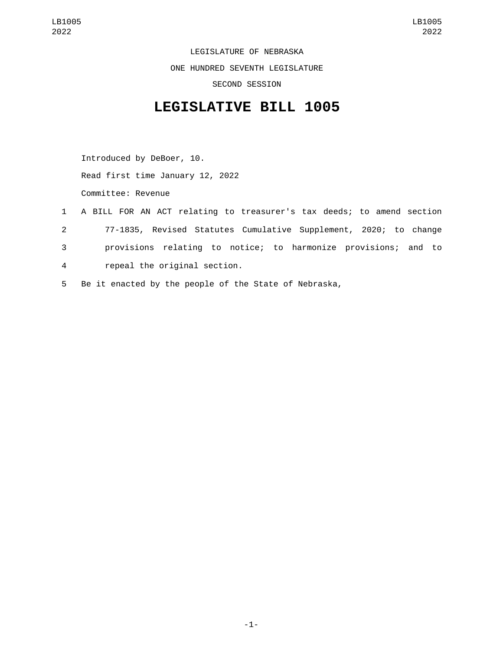LEGISLATURE OF NEBRASKA ONE HUNDRED SEVENTH LEGISLATURE SECOND SESSION

## **LEGISLATIVE BILL 1005**

Introduced by DeBoer, 10. Read first time January 12, 2022 Committee: Revenue

- 1 A BILL FOR AN ACT relating to treasurer's tax deeds; to amend section 2 77-1835, Revised Statutes Cumulative Supplement, 2020; to change 3 provisions relating to notice; to harmonize provisions; and to repeal the original section.4
- 5 Be it enacted by the people of the State of Nebraska,